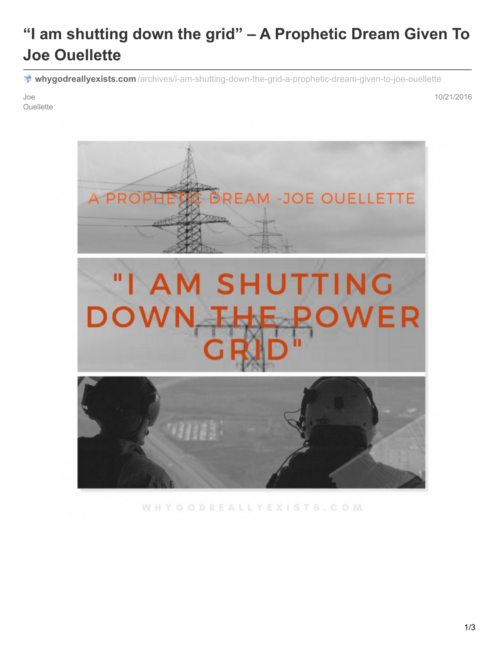# **"I am shutting down the grid" – A Prophetic Dream Given To Joe Ouellette**

**whygodreallyexists.com** [/archives/i-am-shutting-down-the-grid-a-prophetic-dream-given-to-joe-ouellette](http://whygodreallyexists.com/archives/i-am-shutting-down-the-grid-a-prophetic-dream-given-to-joe-ouellette)

Joe **Ouellette**  10/21/2016



WHYGODREALLYEXISTS.COM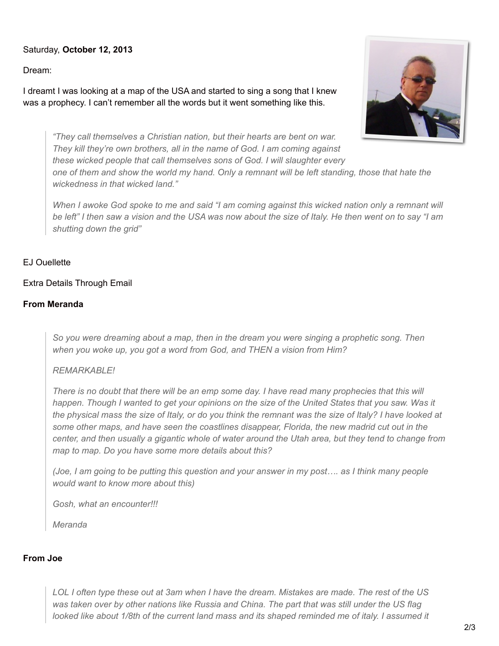## Saturday, **October 12, 2013**

Dream:

I dreamt I was looking at a map of the USA and started to sing a song that I knew was a prophecy. I can't remember all the words but it went something like this.



*"They call themselves a Christian nation, but their hearts are bent on war. They kill they're own brothers, all in the name of God. I am coming against these wicked people that call themselves sons of God. I will slaughter every* one of them and show the world my hand. Only a remnant will be left standing, those that hate the *wickedness in that wicked land."*

When I awoke God spoke to me and said "I am coming against this wicked nation only a remnant will be left" I then saw a vision and the USA was now about the size of Italy. He then went on to say "I am *shutting down the grid"*

#### EJ Ouellette

#### Extra Details Through Email

#### **From Meranda**

*So you were dreaming about a map, then in the dream you were singing a prophetic song. Then when you woke up, you got a word from God, and THEN a vision from Him?*

#### *REMARKABLE!*

There is no doubt that there will be an emp some day. I have read many prophecies that this will happen. Though I wanted to get your opinions on the size of the United States that you saw. Was it the physical mass the size of Italy, or do you think the remnant was the size of Italy? I have looked at *some other maps, and have seen the coastlines disappear, Florida, the new madrid cut out in the* center, and then usually a gigantic whole of water around the Utah area, but they tend to change from *map to map. Do you have some more details about this?*

(Joe, I am going to be putting this question and your answer in my post.... as I think many people *would want to know more about this)*

*Gosh, what an encounter!!!*

*Meranda*

#### **From Joe**

LOL I often type these out at 3am when I have the dream. Mistakes are made. The rest of the US was taken over by other nations like Russia and China. The part that was still under the US flag looked like about 1/8th of the current land mass and its shaped reminded me of italy. I assumed it